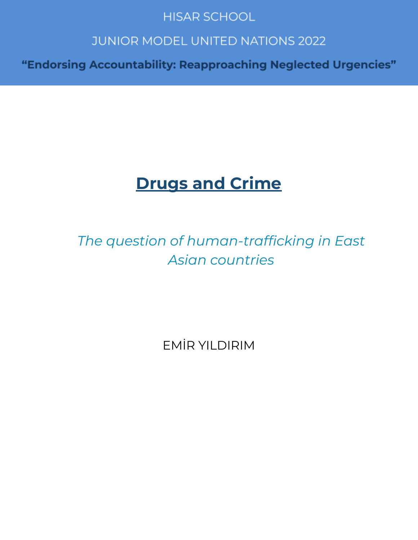# **HISAR SCHOOL**

# **JUNIOR MODEL UNITED NATIONS 2022**

"Endorsing Accountability: Reapproaching Neglected Urgencies"

# **Drugs and Crime**

*The question of human-trafficking in East Asian countries*

EMİR YILDIRIM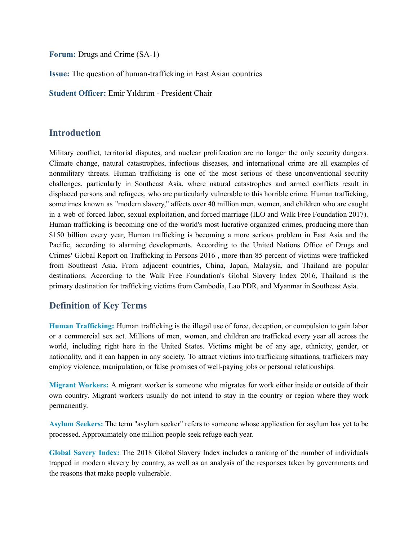**Forum:** Drugs and Crime (SA-1)

**Issue:** The question of human-trafficking in East Asian countries

**Student Officer:** Emir Yıldırım - President Chair

#### **Introduction**

Military conflict, territorial disputes, and nuclear proliferation are no longer the only security dangers. Climate change, natural catastrophes, infectious diseases, and international crime are all examples of nonmilitary threats. Human trafficking is one of the most serious of these unconventional security challenges, particularly in Southeast Asia, where natural catastrophes and armed conflicts result in displaced persons and refugees, who are particularly vulnerable to this horrible crime. Human trafficking, sometimes known as "modern slavery," affects over 40 million men, women, and children who are caught in a web of forced labor, sexual exploitation, and forced marriage (ILO and Walk Free Foundation 2017). Human trafficking is becoming one of the world's most lucrative organized crimes, producing more than \$150 billion every year, Human trafficking is becoming a more serious problem in East Asia and the Pacific, according to alarming developments. According to the United Nations Office of Drugs and Crimes' Global Report on Trafficking in Persons 2016 , more than 85 percent of victims were trafficked from Southeast Asia. From adjacent countries, China, Japan, Malaysia, and Thailand are popular destinations. According to the Walk Free Foundation's Global Slavery Index 2016, Thailand is the primary destination for trafficking victims from Cambodia, Lao PDR, and Myanmar in Southeast Asia.

#### **Definition of Key Terms**

**Human Trafficking:** Human trafficking is the illegal use of force, deception, or compulsion to gain labor or a commercial sex act. Millions of men, women, and children are trafficked every year all across the world, including right here in the United States. Victims might be of any age, ethnicity, gender, or nationality, and it can happen in any society. To attract victims into trafficking situations, traffickers may employ violence, manipulation, or false promises of well-paying jobs or personal relationships.

**Migrant Workers:** A migrant worker is someone who migrates for work either inside or outside of their own country. Migrant workers usually do not intend to stay in the country or region where they work permanently.

**Asylum Seekers:** The term "asylum seeker" refers to someone whose application for asylum has yet to be processed. Approximately one million people seek refuge each year.

**Global Savery Index:** The 2018 Global Slavery Index includes a ranking of the number of individuals trapped in modern slavery by country, as well as an analysis of the responses taken by governments and the reasons that make people vulnerable.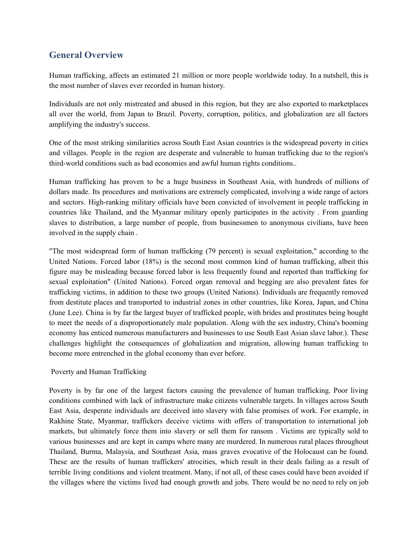## **General Overview**

Human trafficking, affects an estimated 21 million or more people worldwide today. In a nutshell, this is the most number of slaves ever recorded in human history.

Individuals are not only mistreated and abused in this region, but they are also exported to marketplaces all over the world, from Japan to Brazil. Poverty, corruption, politics, and globalization are all factors amplifying the industry's success.

One of the most striking similarities across South East Asian countries is the widespread poverty in cities and villages. People in the region are desperate and vulnerable to human trafficking due to the region's third-world conditions such as bad economies and awful human rights conditions..

Human trafficking has proven to be a huge business in Southeast Asia, with hundreds of millions of dollars made. Its procedures and motivations are extremely complicated, involving a wide range of actors and sectors. High-ranking military officials have been convicted of involvement in people trafficking in countries like Thailand, and the Myanmar military openly participates in the activity . From guarding slaves to distribution, a large number of people, from businessmen to anonymous civilians, have been involved in the supply chain .

"The most widespread form of human trafficking (79 percent) is sexual exploitation," according to the United Nations. Forced labor (18%) is the second most common kind of human trafficking, albeit this figure may be misleading because forced labor is less frequently found and reported than trafficking for sexual exploitation" (United Nations). Forced organ removal and begging are also prevalent fates for trafficking victims, in addition to these two groups (United Nations). Individuals are frequently removed from destitute places and transported to industrial zones in other countries, like Korea, Japan, and China (June Lee). China is by far the largest buyer of trafficked people, with brides and prostitutes being bought to meet the needs of a disproportionately male population. Along with the sex industry, China's booming economy has enticed numerous manufacturers and businesses to use South East Asian slave labor.). These challenges highlight the consequences of globalization and migration, allowing human trafficking to become more entrenched in the global economy than ever before.

#### Poverty and Human Trafficking

Poverty is by far one of the largest factors causing the prevalence of human trafficking. Poor living conditions combined with lack of infrastructure make citizens vulnerable targets. In villages across South East Asia, desperate individuals are deceived into slavery with false promises of work. For example, in Rakhine State, Myanmar, traffickers deceive victims with offers of transportation to international job markets, but ultimately force them into slavery or sell them for ransom . Victims are typically sold to various businesses and are kept in camps where many are murdered. In numerous rural places throughout Thailand, Burma, Malaysia, and Southeast Asia, mass graves evocative of the Holocaust can be found. These are the results of human traffickers' atrocities, which result in their deals failing as a result of terrible living conditions and violent treatment. Many, if not all, of these cases could have been avoided if the villages where the victims lived had enough growth and jobs. There would be no need to rely on job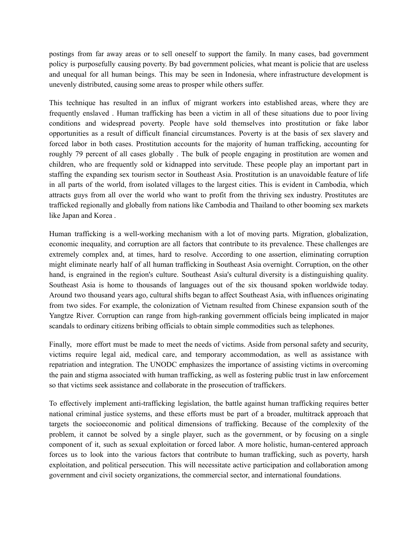postings from far away areas or to sell oneself to support the family. In many cases, bad government policy is purposefully causing poverty. By bad government policies, what meant is policie that are useless and unequal for all human beings. This may be seen in Indonesia, where infrastructure development is unevenly distributed, causing some areas to prosper while others suffer.

This technique has resulted in an influx of migrant workers into established areas, where they are frequently enslaved . Human trafficking has been a victim in all of these situations due to poor living conditions and widespread poverty. People have sold themselves into prostitution or fake labor opportunities as a result of difficult financial circumstances. Poverty is at the basis of sex slavery and forced labor in both cases. Prostitution accounts for the majority of human trafficking, accounting for roughly 79 percent of all cases globally . The bulk of people engaging in prostitution are women and children, who are frequently sold or kidnapped into servitude. These people play an important part in staffing the expanding sex tourism sector in Southeast Asia. Prostitution is an unavoidable feature of life in all parts of the world, from isolated villages to the largest cities. This is evident in Cambodia, which attracts guys from all over the world who want to profit from the thriving sex industry. Prostitutes are trafficked regionally and globally from nations like Cambodia and Thailand to other booming sex markets like Japan and Korea .

Human trafficking is a well-working mechanism with a lot of moving parts. Migration, globalization, economic inequality, and corruption are all factors that contribute to its prevalence. These challenges are extremely complex and, at times, hard to resolve. According to one assertion, eliminating corruption might eliminate nearly half of all human trafficking in Southeast Asia overnight. Corruption, on the other hand, is engrained in the region's culture. Southeast Asia's cultural diversity is a distinguishing quality. Southeast Asia is home to thousands of languages out of the six thousand spoken worldwide today. Around two thousand years ago, cultural shifts began to affect Southeast Asia, with influences originating from two sides. For example, the colonization of Vietnam resulted from Chinese expansion south of the Yangtze River. Corruption can range from high-ranking government officials being implicated in major scandals to ordinary citizens bribing officials to obtain simple commodities such as telephones.

Finally, more effort must be made to meet the needs of victims. Aside from personal safety and security, victims require legal aid, medical care, and temporary accommodation, as well as assistance with repatriation and integration. The UNODC emphasizes the importance of assisting victims in overcoming the pain and stigma associated with human trafficking, as well as fostering public trust in law enforcement so that victims seek assistance and collaborate in the prosecution of traffickers.

To effectively implement anti-trafficking legislation, the battle against human trafficking requires better national criminal justice systems, and these efforts must be part of a broader, multitrack approach that targets the socioeconomic and political dimensions of trafficking. Because of the complexity of the problem, it cannot be solved by a single player, such as the government, or by focusing on a single component of it, such as sexual exploitation or forced labor. A more holistic, human-centered approach forces us to look into the various factors that contribute to human trafficking, such as poverty, harsh exploitation, and political persecution. This will necessitate active participation and collaboration among government and civil society organizations, the commercial sector, and international foundations.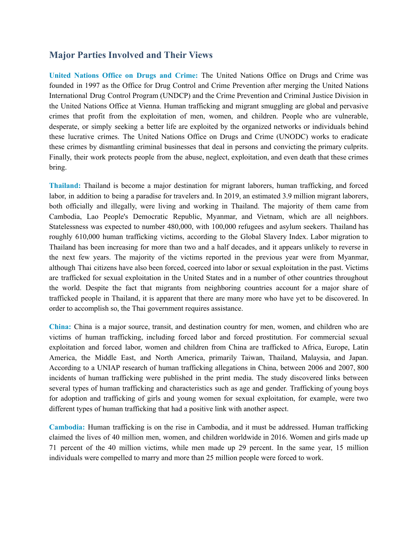#### **Major Parties Involved and Their Views**

**United Nations Office on Drugs and Crime:** The United Nations Office on Drugs and Crime was founded in 1997 as the Office for Drug Control and Crime Prevention after merging the United Nations International Drug Control Program (UNDCP) and the Crime Prevention and Criminal Justice Division in the United Nations Office at Vienna. Human trafficking and migrant smuggling are global and pervasive crimes that profit from the exploitation of men, women, and children. People who are vulnerable, desperate, or simply seeking a better life are exploited by the organized networks or individuals behind these lucrative crimes. The United Nations Office on Drugs and Crime (UNODC) works to eradicate these crimes by dismantling criminal businesses that deal in persons and convicting the primary culprits. Finally, their work protects people from the abuse, neglect, exploitation, and even death that these crimes bring.

**Thailand:** Thailand is become a major destination for migrant laborers, human trafficking, and forced labor, in addition to being a paradise for travelers and. In 2019, an estimated 3.9 million migrant laborers, both officially and illegally, were living and working in Thailand. The majority of them came from Cambodia, Lao People's Democratic Republic, Myanmar, and Vietnam, which are all neighbors. Statelessness was expected to number 480,000, with 100,000 refugees and asylum seekers. Thailand has roughly 610,000 human trafficking victims, according to the Global Slavery Index. Labor migration to Thailand has been increasing for more than two and a half decades, and it appears unlikely to reverse in the next few years. The majority of the victims reported in the previous year were from Myanmar, although Thai citizens have also been forced, coerced into labor or sexual exploitation in the past. Victims are trafficked for sexual exploitation in the United States and in a number of other countries throughout the world. Despite the fact that migrants from neighboring countries account for a major share of trafficked people in Thailand, it is apparent that there are many more who have yet to be discovered. In order to accomplish so, the Thai government requires assistance.

**China:** China is a major source, transit, and destination country for men, women, and children who are victims of human trafficking, including forced labor and forced prostitution. For commercial sexual exploitation and forced labor, women and children from China are trafficked to Africa, Europe, Latin America, the Middle East, and North America, primarily Taiwan, Thailand, Malaysia, and Japan. According to a UNIAP research of human trafficking allegations in China, between 2006 and 2007, 800 incidents of human trafficking were published in the print media. The study discovered links between several types of human trafficking and characteristics such as age and gender. Trafficking of young boys for adoption and trafficking of girls and young women for sexual exploitation, for example, were two different types of human trafficking that had a positive link with another aspect.

**Cambodia:** Human trafficking is on the rise in Cambodia, and it must be addressed. Human trafficking claimed the lives of 40 million men, women, and children worldwide in 2016. Women and girls made up 71 percent of the 40 million victims, while men made up 29 percent. In the same year, 15 million individuals were compelled to marry and more than 25 million people were forced to work.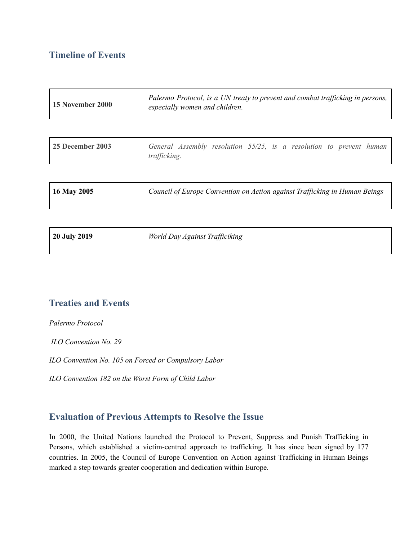### **Timeline of Events**

| <b>15 November 2000</b> | Palermo Protocol, is a UN treaty to prevent and combat trafficking in persons,<br>especially women and children. |
|-------------------------|------------------------------------------------------------------------------------------------------------------|
|-------------------------|------------------------------------------------------------------------------------------------------------------|

| <b>25 December 2003</b> |              | General Assembly resolution $55/25$ , is a resolution to prevent human |  |  |  |  |
|-------------------------|--------------|------------------------------------------------------------------------|--|--|--|--|
|                         | trafficking. |                                                                        |  |  |  |  |

| $16$ May 2005 | Council of Europe Convention on Action against Trafficking in Human Beings |
|---------------|----------------------------------------------------------------------------|
|               |                                                                            |

| 20 July 2019 | World Day Against Trafficiking |
|--------------|--------------------------------|
|              |                                |

## **Treaties and Events**

*Palermo Protocol*

*ILO Convention No. 29*

*ILO Convention No. 105 on Forced or Compulsory Labor*

*ILO Convention 182 on the Worst Form of Child Labor*

#### **Evaluation of Previous Attempts to Resolve the Issue**

In 2000, the United Nations launched the Protocol to Prevent, Suppress and Punish Trafficking in Persons, which established a victim-centred approach to trafficking. It has since been signed by 177 countries. In 2005, the Council of Europe Convention on Action against Trafficking in Human Beings marked a step towards greater cooperation and dedication within Europe.